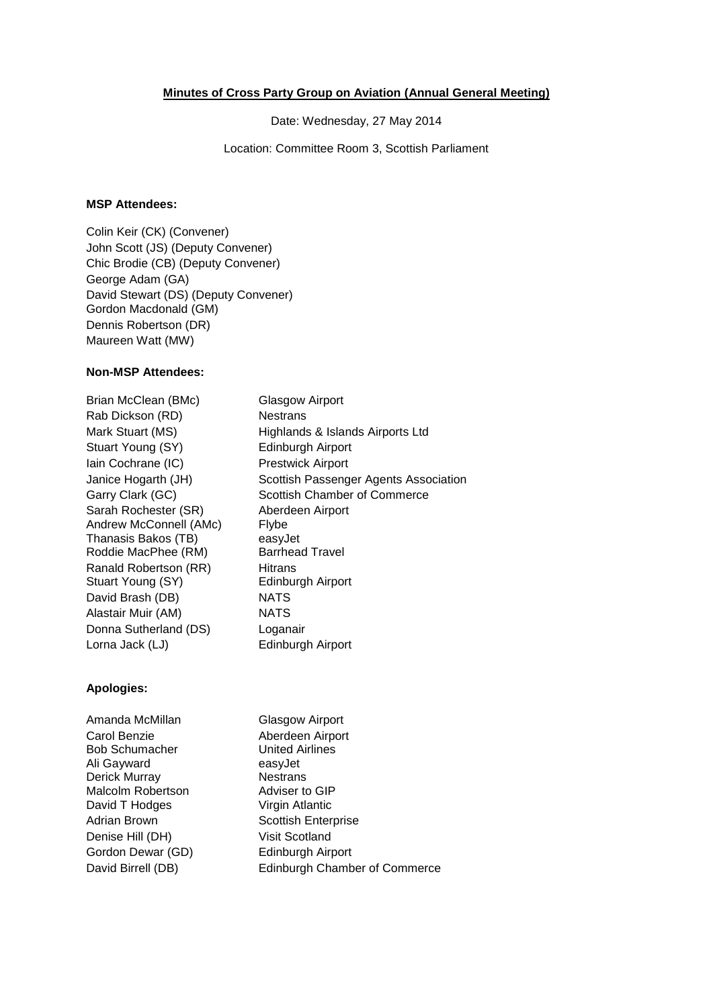## **Minutes of Cross Party Group on Aviation (Annual General Meeting)**

Date: Wednesday, 27 May 2014

Location: Committee Room 3, Scottish Parliament

## **MSP Attendees:**

Colin Keir (CK) (Convener) John Scott (JS) (Deputy Convener) Chic Brodie (CB) (Deputy Convener) George Adam (GA) David Stewart (DS) (Deputy Convener) Gordon Macdonald (GM) Dennis Robertson (DR) Maureen Watt (MW)

## **Non-MSP Attendees:**

Brian McClean (BMc) Glasgow Airport Rab Dickson (RD) Nestrans Stuart Young (SY) Edinburgh Airport Iain Cochrane (IC) Prestwick Airport Sarah Rochester (SR) Aberdeen Airport Andrew McConnell (AMc) Flybe Thanasis Bakos (TB) easyJet Roddie MacPhee (RM) Barrhead Travel Ranald Robertson (RR) Hitrans<br>Stuart Young (SY) Edinburgh Airport Stuart Young (SY) David Brash (DB) NATS Alastair Muir (AM) NATS Donna Sutherland (DS) Loganair Lorna Jack (LJ) Edinburgh Airport

Mark Stuart (MS) Highlands & Islands Airports Ltd Janice Hogarth (JH) Scottish Passenger Agents Association Garry Clark (GC) Scottish Chamber of Commerce

## **Apologies:**

Amanda McMillan Glasgow Airport Carol Benzie **Aberdeen Airport** Bob Schumacher United Airlines Ali Gayward easyJet Derick Murray Malcolm Robertson Adviser to GIP David T Hodges Virgin Atlantic Adrian Brown Scottish Enterprise Denise Hill (DH) Visit Scotland Gordon Dewar (GD) Edinburgh Airport David Birrell (DB) Edinburgh Chamber of Commerce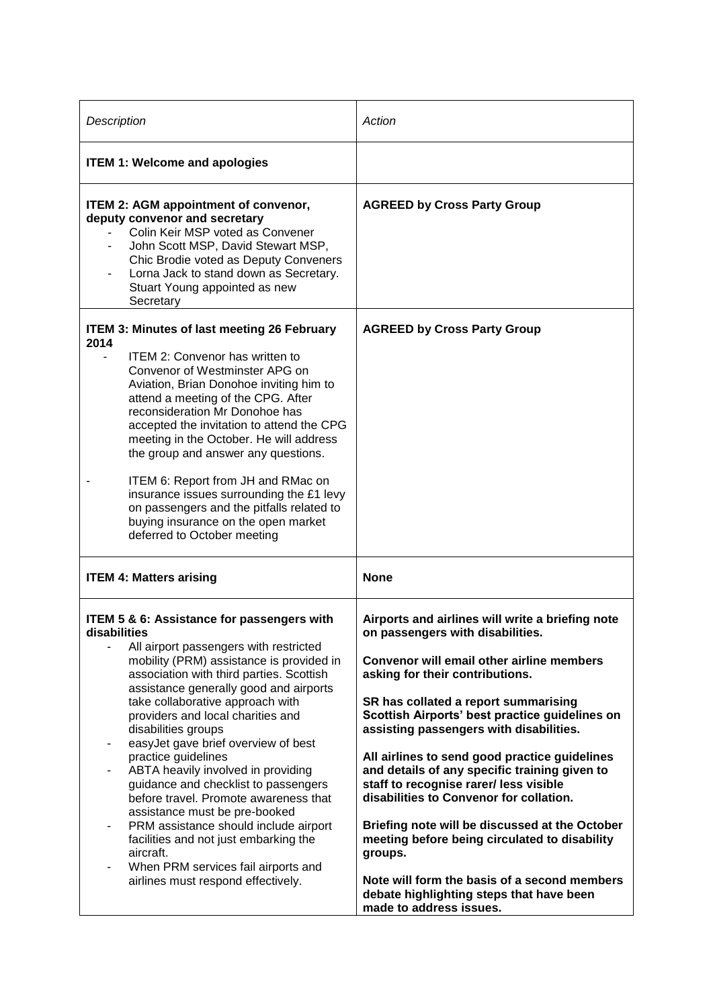| Description                                                                                                                                                                                                                                                                                                                                                                                                                                                                                                                                                                                                                                                                                                                                         | Action                                                                                                                                                                                                                                                                                                                                                                                                                                                                                                                                                                                                                                                                                                                                |
|-----------------------------------------------------------------------------------------------------------------------------------------------------------------------------------------------------------------------------------------------------------------------------------------------------------------------------------------------------------------------------------------------------------------------------------------------------------------------------------------------------------------------------------------------------------------------------------------------------------------------------------------------------------------------------------------------------------------------------------------------------|---------------------------------------------------------------------------------------------------------------------------------------------------------------------------------------------------------------------------------------------------------------------------------------------------------------------------------------------------------------------------------------------------------------------------------------------------------------------------------------------------------------------------------------------------------------------------------------------------------------------------------------------------------------------------------------------------------------------------------------|
| <b>ITEM 1: Welcome and apologies</b>                                                                                                                                                                                                                                                                                                                                                                                                                                                                                                                                                                                                                                                                                                                |                                                                                                                                                                                                                                                                                                                                                                                                                                                                                                                                                                                                                                                                                                                                       |
| <b>ITEM 2: AGM appointment of convenor,</b><br>deputy convenor and secretary<br>Colin Keir MSP voted as Convener<br>John Scott MSP, David Stewart MSP,<br>Chic Brodie voted as Deputy Conveners<br>Lorna Jack to stand down as Secretary.<br>Stuart Young appointed as new<br>Secretary                                                                                                                                                                                                                                                                                                                                                                                                                                                             | <b>AGREED by Cross Party Group</b>                                                                                                                                                                                                                                                                                                                                                                                                                                                                                                                                                                                                                                                                                                    |
| <b>ITEM 3: Minutes of last meeting 26 February</b><br>2014<br><b>ITEM 2: Convenor has written to</b><br>Convenor of Westminster APG on<br>Aviation, Brian Donohoe inviting him to<br>attend a meeting of the CPG. After<br>reconsideration Mr Donohoe has<br>accepted the invitation to attend the CPG<br>meeting in the October. He will address<br>the group and answer any questions.<br>ITEM 6: Report from JH and RMac on<br>insurance issues surrounding the £1 levy<br>on passengers and the pitfalls related to<br>buying insurance on the open market<br>deferred to October meeting                                                                                                                                                       | <b>AGREED by Cross Party Group</b>                                                                                                                                                                                                                                                                                                                                                                                                                                                                                                                                                                                                                                                                                                    |
| <b>ITEM 4: Matters arising</b>                                                                                                                                                                                                                                                                                                                                                                                                                                                                                                                                                                                                                                                                                                                      | <b>None</b>                                                                                                                                                                                                                                                                                                                                                                                                                                                                                                                                                                                                                                                                                                                           |
| <b>ITEM 5 &amp; 6: Assistance for passengers with</b><br>disabilities<br>All airport passengers with restricted<br>mobility (PRM) assistance is provided in<br>association with third parties. Scottish<br>assistance generally good and airports<br>take collaborative approach with<br>providers and local charities and<br>disabilities groups<br>easyJet gave brief overview of best<br>practice guidelines<br>ABTA heavily involved in providing<br>guidance and checklist to passengers<br>before travel. Promote awareness that<br>assistance must be pre-booked<br>PRM assistance should include airport<br>facilities and not just embarking the<br>aircraft.<br>When PRM services fail airports and<br>airlines must respond effectively. | Airports and airlines will write a briefing note<br>on passengers with disabilities.<br>Convenor will email other airline members<br>asking for their contributions.<br>SR has collated a report summarising<br>Scottish Airports' best practice guidelines on<br>assisting passengers with disabilities.<br>All airlines to send good practice guidelines<br>and details of any specific training given to<br>staff to recognise rarer/ less visible<br>disabilities to Convenor for collation.<br>Briefing note will be discussed at the October<br>meeting before being circulated to disability<br>groups.<br>Note will form the basis of a second members<br>debate highlighting steps that have been<br>made to address issues. |